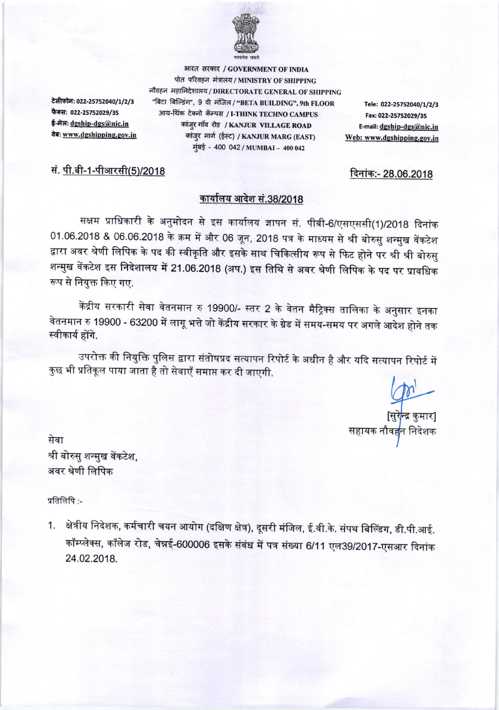

भारत सरकार / GOVERNMENT OF INDIA पोत परिवहन मंत्रालय / MINISTRY OF SHIPPING

टेलीफोन: 022-25752040/1/2/3 फैक्स: 022-25752029/35 ई-मेलः dgship-dgs@nic.in वेबः www.dgshipping.gov.in

सं. <u>पी.बी-1-पीआरसी(5)/2018</u>

नौवहन महानिदेशालय / DIRECTORATE GENERAL OF SHIPPING "बिटा बिल्डिंग", 9 वी मंजिल / "BETA BUILDING", 9th FLOOR Tele: 022-25752040/1/2/3 आय-थिंक टेक्नो कॅम्पस / I-THINK TECHNO CAMPUS Fax: 022-25752029/35 कांज़्र गाॅव रोड / KANJUR VILLAGE ROAD E-mail: dgship-dgs@nic.in कांजुर मार्ग (ईस्ट) / KANJUR MARG (EAST) Web: www.dgshipping.gov.in मुंबई - 400 042 / MUMBAI - 400 042

दिनांक:- 28.06.2018

## कार्यालय आदेश सं.38/2018

सक्षम प्राधिकारी के अनुमोदन से इस कार्यालय ज्ञापन सं. पीबी-6/एसएससी(1)/2018 दिनांक 01.06.2018 & 06.06.2018 के क्रम में और 06 जून, 2018 पत्र के माध्यम से श्री बोरुसु शन्मुख वेंकटेश द्वारा अवर श्रेणी लिपिक के पद की स्वीकृति और इसके साथ चिकित्सीय रूप से फिट होने पर श्री श्री बोरुसु शन्मुख वेंकटेश इस निदेशालय में 21.06.2018 (अप.) इस तिथि से अवर श्रेणी लिपिक के पद पर प्रावधिक रूप से नियुक्त किए गए.

केंद्रीय सरकारी सेवा वेतनमान रु 19900/- स्तर 2 के वेतन मैट्रिक्स तालिका के अनुसार इनका वेतनमान रु 19900 - 63200 में लागू भत्ते जो केंद्रीय सरकार के ग्रेड में समय-समय पर अगले आदेश होने तक स्वीकार्य होंगे.

उपरोक्त की नियुक्ति पुलिस द्वारा संतोषप्रद सत्यापन रिपोर्ट के अधीन है और यदि सत्यापन रिपोर्ट में कुछ भी प्रतिकूल पाया जाता है तो सेवाएँ समाप्त कर दी जाएगी.

[सुरे<mark>न्द्र</mark> कुमार सहायक नौवह<mark>न</mark> निदेशक

सेवा श्री बोरुसु शन्मुख वेंकटेश, अवर श्रेणी लिपिक

प्रतिलिपि:-

1. क्षेत्रीय निदेशक, कर्मचारी चयन आयोग (दक्षिण क्षेत्र), दूसरी मंजिल, ई.वी.के. संपथ बिल्डिंग, डी.पी.आई. कॉम्प्लेक्स, कॉलेज रोड, चेन्नई-600006 इसके संबंध में पत्र संख्या 6/11 एल39/2017-एसआर दिनांक 24.02.2018.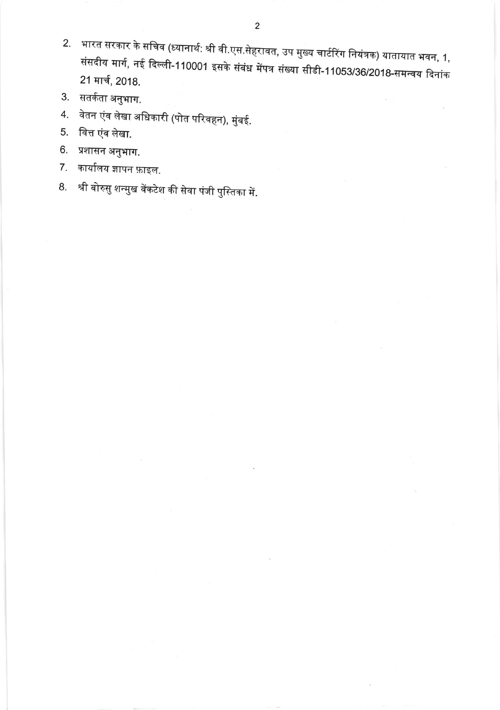- 2. भारत सरकार के सचिव (ध्यानार्थ: श्री वी.एस.सेहरावत, उप मुख्य चार्टरिंग नियंत्रक) यातायात भवन, 1, संसदीय मार्ग, नई दिल्ली-110001 इसके संबंध मेंपत्र संख्या सीडी-11053/36/2018-समन्वय दिनांक 21 मार्च, 2018.
- 3. सतर्कता अनुभाग.
- 4. वेतन एंव लेखा अधिकारी (पोत परिवहन), मुंबई.
- 5. वित्त एंव लेखा.
- 6. प्रशासन अनुभाग.
- 7. कार्यालय ज्ञापन फ़ाइल.
- 8. श्री बोरुसु शन्मुख वेंकटेश की सेवा पंजी पुस्तिका में.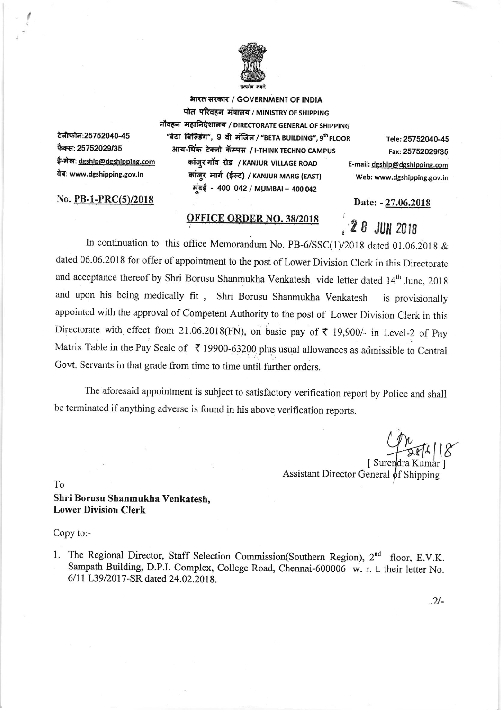

भारत सरकार / GOVERNMENT OF INDIA पोत परिवहन मंत्रालय / MINISTRY OF SHIPPING

टेलीफोन:25752040-45 फैक्स: 25752029/35 ई-मेल: dgship@dgshipping.com वेब: www.dgshipping.gov.in

No. PB-1-PRC(5)/2018

नौवहन महानिदेशालय / DIRECTORATE GENERAL OF SHIPPING "बेटा बिल्डिंग", 9 वी मंजिल / "BETA BUILDING", 9<sup>th</sup> FLOOR आय-थिंक टेक्नो कॅम्पस / I-THINK TECHNO CAMPUS कांज़्र गॉव रोड / KANJUR VILLAGE ROAD कांजुर मार्ग (ईस्ट) / KANJUR MARG (EAST) मूंबई - 400 042 / MUMBAI - 400 042

## **OFFICE ORDER NO. 38/2018**

Tele: 25752040-45 Fax: 25752029/35 E-mail: dgship@dgshipping.com Web: www.dgshipping.gov.in

Date: - 27.06.2018

28 JUN 2018

In continuation to this office Memorandum No. PB-6/SSC(1)/2018 dated 01.06.2018 & dated 06.06.2018 for offer of appointment to the post of Lower Division Clerk in this Directorate and acceptance thereof by Shri Borusu Shanmukha Venkatesh vide letter dated 14<sup>th</sup> June, 2018 and upon his being medically fit, Shri Borusu Shanmukha Venkatesh is provisionally appointed with the approval of Competent Authority to the post of Lower Division Clerk in this Directorate with effect from 21.06.2018(FN), on basic pay of  $\overline{\tau}$  19,900/- in Level-2 of Pay Matrix Table in the Pay Scale of ₹ 19900-63200 plus usual allowances as admissible to Central Govt. Servants in that grade from time to time until further orders.

The aforesaid appointment is subject to satisfactory verification report by Police and shall be terminated if anything adverse is found in his above verification reports.

| Surendra Kumar Assistant Director General of Shipping

To

## Shri Borusu Shanmukha Venkatesh. **Lower Division Clerk**

## Copy to:-

1. The Regional Director, Staff Selection Commission(Southern Region), 2<sup>nd</sup> floor, E.V.K. Sampath Building, D.P.I. Complex, College Road, Chennai-600006 w.r.t. their letter No. 6/11 L39/2017-SR dated 24.02.2018.

 $.2/-$